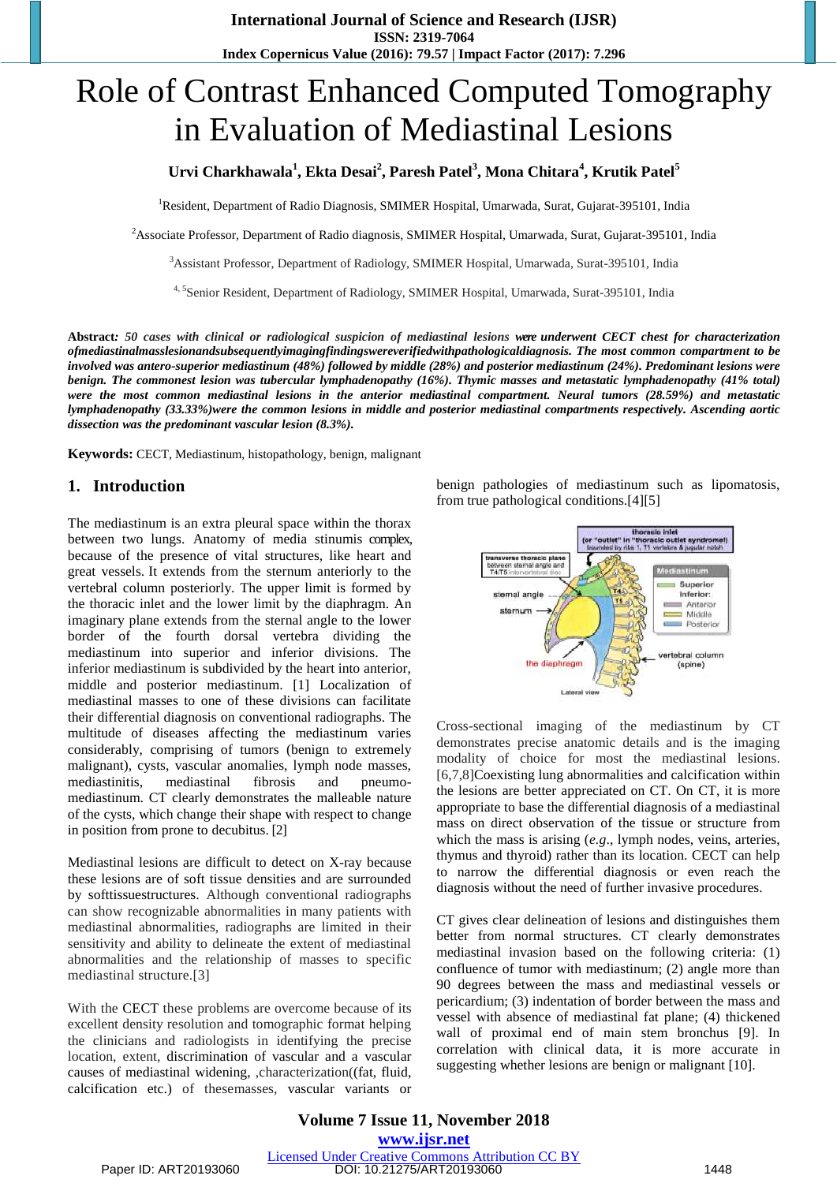# Role of Contrast Enhanced Computed Tomography in Evaluation of Mediastinal Lesions

## **Urvi Charkhawala<sup>1</sup> , Ekta Desai<sup>2</sup> , Paresh Patel<sup>3</sup> , Mona Chitara<sup>4</sup> , Krutik Patel<sup>5</sup>**

<sup>1</sup>Resident, Department of Radio Diagnosis, SMIMER Hospital, Umarwada, Surat, Gujarat-395101, India

<sup>2</sup>Associate Professor, Department of Radio diagnosis, SMIMER Hospital, Umarwada, Surat, Gujarat-395101, India

<sup>3</sup>Assistant Professor, Department of Radiology, SMIMER Hospital, Umarwada, Surat-395101, India

<sup>4, 5</sup>Senior Resident, Department of Radiology, SMIMER Hospital, Umarwada, Surat-395101, India

**Abstract***: 50 cases with clinical or radiological suspicion of mediastinal lesions were underwent CECT chest for characterization ofmediastinalmasslesionandsubsequentlyimagingfindingswereverifiedwithpathologicaldiagnosis. The most common compartment to be involved was antero-superior mediastinum (48%) followed by middle (28%) and posterior mediastinum (24%). Predominant lesions were benign. The commonest lesion was tubercular lymphadenopathy (16%). Thymic masses and metastatic lymphadenopathy (41% total) were the most common mediastinal lesions in the anterior mediastinal compartment. Neural tumors (28.59%) and metastatic lymphadenopathy (33.33%)were the common lesions in middle and posterior mediastinal compartments respectively. Ascending aortic dissection was the predominant vascular lesion (8.3%).* 

**Keywords:** CECT, Mediastinum, histopathology, benign, malignant

#### **1. Introduction**

The mediastinum is an extra pleural space within the thorax between two lungs. Anatomy of media stinumis complex, because of the presence of vital structures, like heart and great vessels. It extends from the sternum anteriorly to the vertebral column posteriorly. The upper limit is formed by the thoracic inlet and the lower limit by the diaphragm. An imaginary plane extends from the sternal angle to the lower border of the fourth dorsal vertebra dividing the mediastinum into superior and inferior divisions. The inferior mediastinum is subdivided by the heart into anterior, middle and posterior mediastinum. [1] Localization of mediastinal masses to one of these divisions can facilitate their differential diagnosis on conventional radiographs. The multitude of diseases affecting the mediastinum varies considerably, comprising of tumors (benign to extremely malignant), cysts, vascular anomalies, lymph node masses, mediastinitis, mediastinal fibrosis and pneumomediastinum. CT clearly demonstrates the malleable nature of the cysts, which change their shape with respect to change in position from prone to decubitus. [2]

Mediastinal lesions are difficult to detect on X-ray because these lesions are of soft tissue densities and are surrounded by softtissuestructures. Although conventional radiographs can show recognizable abnormalities in many patients with mediastinal abnormalities, radiographs are limited in their sensitivity and ability to delineate the extent of mediastinal abnormalities and the relationship of masses to specific mediastinal structure.[3]

With the CECT these problems are overcome because of its excellent density resolution and tomographic format helping the clinicians and radiologists in identifying the precise location, extent, discrimination of vascular and a vascular causes of mediastinal widening, ,characterization((fat, fluid, calcification etc.) of thesemasses, vascular variants or benign pathologies of mediastinum such as lipomatosis, from true pathological conditions.[4][5]



Cross-sectional imaging of the mediastinum by CT demonstrates precise anatomic details and is the imaging modality of choice for most the mediastinal lesions. [6,7,8]Coexisting lung abnormalities and calcification within the lesions are better appreciated on CT. On CT, it is more appropriate to base the differential diagnosis of a mediastinal mass on direct observation of the tissue or structure from which the mass is arising (*e.g*., lymph nodes, veins, arteries, thymus and thyroid) rather than its location. CECT can help to narrow the differential diagnosis or even reach the diagnosis without the need of further invasive procedures.

CT gives clear delineation of lesions and distinguishes them better from normal structures. CT clearly demonstrates mediastinal invasion based on the following criteria: (1) confluence of tumor with mediastinum; (2) angle more than 90 degrees between the mass and mediastinal vessels or pericardium; (3) indentation of border between the mass and vessel with absence of mediastinal fat plane; (4) thickened wall of proximal end of main stem bronchus [9]. In correlation with clinical data, it is more accurate in suggesting whether lesions are benign or malignant [10].

**Volume 7 Issue 11, November 2018 <www.ijsr.net>** [Licensed Under Creative Commons Attribution CC BY](http://creativecommons.org/licenses/by/4.0/) Paper ID: ART20193060 DOI: 10.21275/ART20193060 1448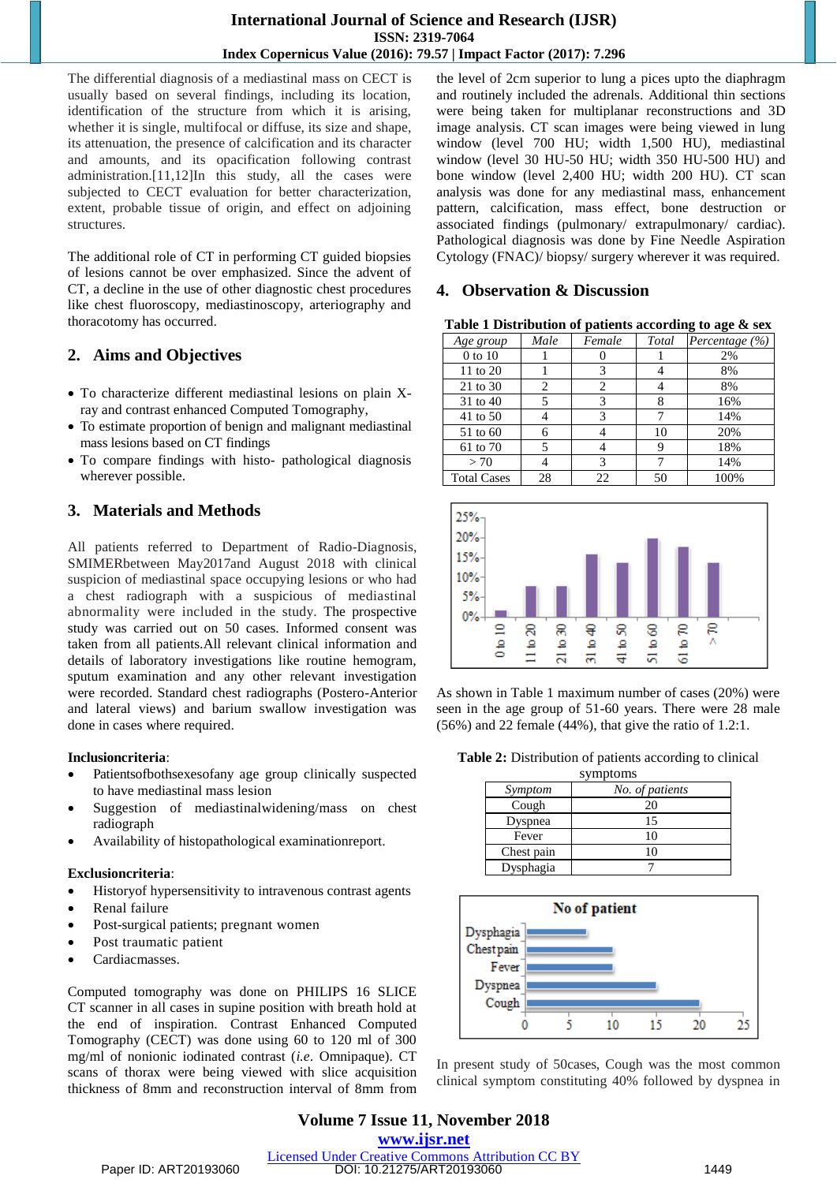The differential diagnosis of a mediastinal mass on CECT is usually based on several findings, including its location, identification of the structure from which it is arising, whether it is single, multifocal or diffuse, its size and shape, its attenuation, the presence of calcification and its character and amounts, and its opacification following contrast administration.[11,12]In this study, all the cases were subjected to CECT evaluation for better characterization, extent, probable tissue of origin, and effect on adjoining structures.

The additional role of CT in performing CT guided biopsies of lesions cannot be over emphasized. Since the advent of CT, a decline in the use of other diagnostic chest procedures like chest fluoroscopy, mediastinoscopy, arteriography and thoracotomy has occurred.

## **2. Aims and Objectives**

- To characterize different mediastinal lesions on plain Xray and contrast enhanced Computed Tomography,
- To estimate proportion of benign and malignant mediastinal mass lesions based on CT findings
- To compare findings with histo- pathological diagnosis wherever possible.

# **3. Materials and Methods**

All patients referred to Department of Radio-Diagnosis, SMIMERbetween May2017and August 2018 with clinical suspicion of mediastinal space occupying lesions or who had a chest radiograph with a suspicious of mediastinal abnormality were included in the study. The prospective study was carried out on 50 cases. Informed consent was taken from all patients.All relevant clinical information and details of laboratory investigations like routine hemogram, sputum examination and any other relevant investigation were recorded. Standard chest radiographs (Postero-Anterior and lateral views) and barium swallow investigation was done in cases where required.

#### **Inclusioncriteria**:

- Patientsofbothsexesofany age group clinically suspected to have mediastinal mass lesion
- Suggestion of mediastinalwidening/mass on chest radiograph
- Availability of histopathological examinationreport.

#### **Exclusioncriteria**:

- Historyof hypersensitivity to intravenous contrast agents
- Renal failure
- Post-surgical patients; pregnant women
- Post traumatic patient
- Cardiacmasses.

Computed tomography was done on PHILIPS 16 SLICE CT scanner in all cases in supine position with breath hold at the end of inspiration. Contrast Enhanced Computed Tomography (CECT) was done using 60 to 120 ml of 300 mg/ml of nonionic iodinated contrast (*i.e*. Omnipaque). CT scans of thorax were being viewed with slice acquisition thickness of 8mm and reconstruction interval of 8mm from

the level of 2cm superior to lung a pices upto the diaphragm and routinely included the adrenals. Additional thin sections were being taken for multiplanar reconstructions and 3D image analysis. CT scan images were being viewed in lung window (level 700 HU; width 1,500 HU), mediastinal window (level 30 HU-50 HU; width 350 HU-500 HU) and bone window (level 2,400 HU; width 200 HU). CT scan analysis was done for any mediastinal mass, enhancement pattern, calcification, mass effect, bone destruction or associated findings (pulmonary/ extrapulmonary/ cardiac). Pathological diagnosis was done by Fine Needle Aspiration Cytology (FNAC)/ biopsy/ surgery wherever it was required.

#### **4. Observation & Discussion**

**Table 1 Distribution of patients according to age & sex**

| Age group          | Male | Female | Total | Percentage (%) |
|--------------------|------|--------|-------|----------------|
| $0$ to $10$        |      |        |       | 2%             |
| 11 to 20           |      | 3      |       | 8%             |
| 21 to 30           | 2    | 2      |       | 8%             |
| 31 to 40           |      | 3      |       | 16%            |
| 41 to 50           |      | 3      |       | 14%            |
| 51 to 60           |      |        | 10    | 20%            |
| 61 to 70           |      |        |       | 18%            |
| > 70               |      | 3      |       | 14%            |
| <b>Total Cases</b> | 28   | 22     | 50    | 100%           |



As shown in Table 1 maximum number of cases (20%) were seen in the age group of 51-60 years. There were 28 male (56%) and 22 female (44%), that give the ratio of 1.2:1.

**Table 2:** Distribution of patients according to clinical

| symptoms   |                 |  |  |
|------------|-----------------|--|--|
| Symptom    | No. of patients |  |  |
| Cough      | 20              |  |  |
| Dyspnea    | 15              |  |  |
| Fever      | 10              |  |  |
| Chest pain | 10              |  |  |
| Dysphagia  |                 |  |  |



In present study of 50cases, Cough was the most common clinical symptom constituting 40% followed by dyspnea in

**Volume 7 Issue 11, November 2018 <www.ijsr.net>** [Licensed Under Creative Commons Attribution CC BY](http://creativecommons.org/licenses/by/4.0/) Paper ID: ART20193060 DOI: 10.21275/ART20193060 1449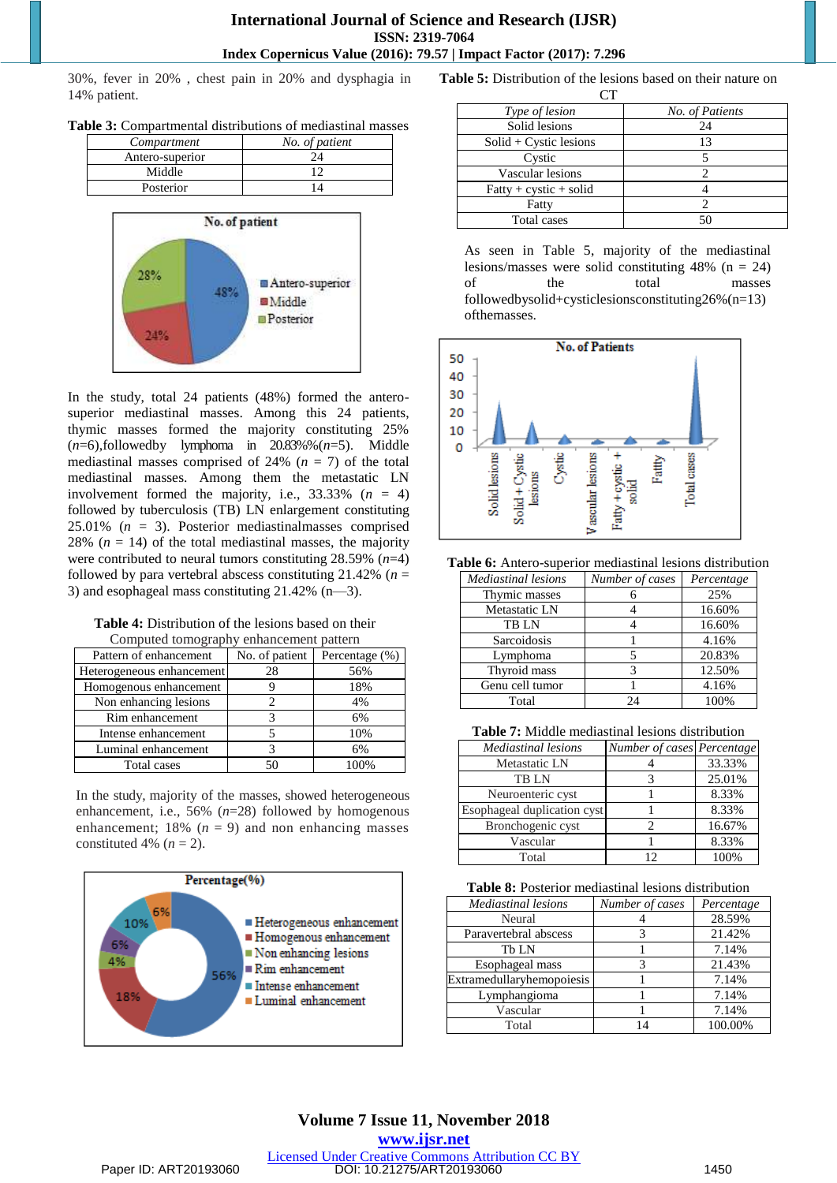30%, fever in 20% , chest pain in 20% and dysphagia in 14% patient.

| Table 3: Compartmental distributions of mediastinal masses |
|------------------------------------------------------------|
|------------------------------------------------------------|

| Compartment     | No. of patient |
|-----------------|----------------|
| Antero-superior |                |
| Middle          |                |
| Posterior       |                |



In the study, total 24 patients (48%) formed the anterosuperior mediastinal masses. Among this 24 patients, thymic masses formed the majority constituting 25%  $(n=6)$ , followed by lymphoma in  $20.83\%$  %  $(n=5)$ . Middle mediastinal masses comprised of 24% ( $n = 7$ ) of the total mediastinal masses. Among them the metastatic LN involvement formed the majority, i.e.,  $33.33\%$  ( $n = 4$ ) followed by tuberculosis (TB) LN enlargement constituting 25.01% (*n* = 3). Posterior mediastinalmasses comprised 28%  $(n = 14)$  of the total mediastinal masses, the majority were contributed to neural tumors constituting 28.59% (*n*=4) followed by para vertebral abscess constituting  $21.42\%$  ( $n =$ 3) and esophageal mass constituting 21.42% (n—3).

**Table 4:** Distribution of the lesions based on their Computed tomography enhancement pattern

| Pattern of enhancement    | No. of patient | Percentage (%) |
|---------------------------|----------------|----------------|
| Heterogeneous enhancement | 28             | 56%            |
| Homogenous enhancement    |                | 18%            |
| Non enhancing lesions     |                | 4%             |
| Rim enhancement           |                | 6%             |
| Intense enhancement       |                | 10%            |
| Luminal enhancement       |                | 6%             |
| Total cases               | 50             |                |

In the study, majority of the masses, showed heterogeneous enhancement, i.e., 56% (*n*=28) followed by homogenous enhancement;  $18\%$  ( $n = 9$ ) and non enhancing masses constituted 4%  $(n = 2)$ .



**Table 5:** Distribution of the lesions based on their nature on

| Type of lesion           | No. of Patients |  |  |
|--------------------------|-----------------|--|--|
| Solid lesions            | 24              |  |  |
| $Solid + Cystic lesions$ | 13              |  |  |
| Cystic                   |                 |  |  |
| Vascular lesions         |                 |  |  |
| $Fatty + cystic + solid$ |                 |  |  |
| Fatty                    |                 |  |  |
| <b>Total cases</b>       | ۲٢              |  |  |

As seen in Table 5, majority of the mediastinal lesions/masses were solid constituting 48% (n = 24) of the total masses followedbysolid+cysticlesionsconstituting26%(n=13) ofthemasses.



**Table 6:** Antero-superior mediastinal lesions distribution

| <b>Mediastinal lesions</b> | Number of cases | Percentage |
|----------------------------|-----------------|------------|
| Thymic masses              |                 | 25%        |
| Metastatic LN              |                 | 16.60%     |
| <b>TBLN</b>                |                 | 16.60%     |
| Sarcoidosis                |                 | 4.16%      |
| Lymphoma                   |                 | 20.83%     |
| Thyroid mass               | 3               | 12.50%     |
| Genu cell tumor            |                 | 4.16%      |
| Total                      | 9Δ              | 100%       |

**Table 7:** Middle mediastinal lesions distribution

| Mediastinal lesions         | Number of cases Percentage |        |
|-----------------------------|----------------------------|--------|
| Metastatic LN               |                            | 33.33% |
| <b>TBLN</b>                 |                            | 25.01% |
| Neuroenteric cyst           |                            | 8.33%  |
| Esophageal duplication cyst |                            | 8.33%  |
| Bronchogenic cyst           |                            | 16.67% |
| Vascular                    |                            | 8.33%  |
| Total                       | 1つ                         | 100%   |

|  |  |  |  | <b>Table 8:</b> Posterior mediastinal lesions distribution |
|--|--|--|--|------------------------------------------------------------|
|--|--|--|--|------------------------------------------------------------|

| <b>Mediastinal lesions</b> | Number of cases | Percentage |
|----------------------------|-----------------|------------|
| Neural                     |                 | 28.59%     |
| Paravertebral abscess      |                 | 21.42%     |
| Th LN                      |                 | 7.14%      |
| Esophageal mass            |                 | 21.43%     |
| Extramedullaryhemopoiesis  |                 | 7.14%      |
| Lymphangioma               |                 | 7.14%      |
| Vascular                   |                 | 7.14%      |
| Total                      |                 | 100.00%    |

**Volume 7 Issue 11, November 2018 <www.ijsr.net>** [Licensed Under Creative Commons Attribution CC BY](http://creativecommons.org/licenses/by/4.0/) Paper ID: ART20193060 DOI: 10.21275/ART20193060 1450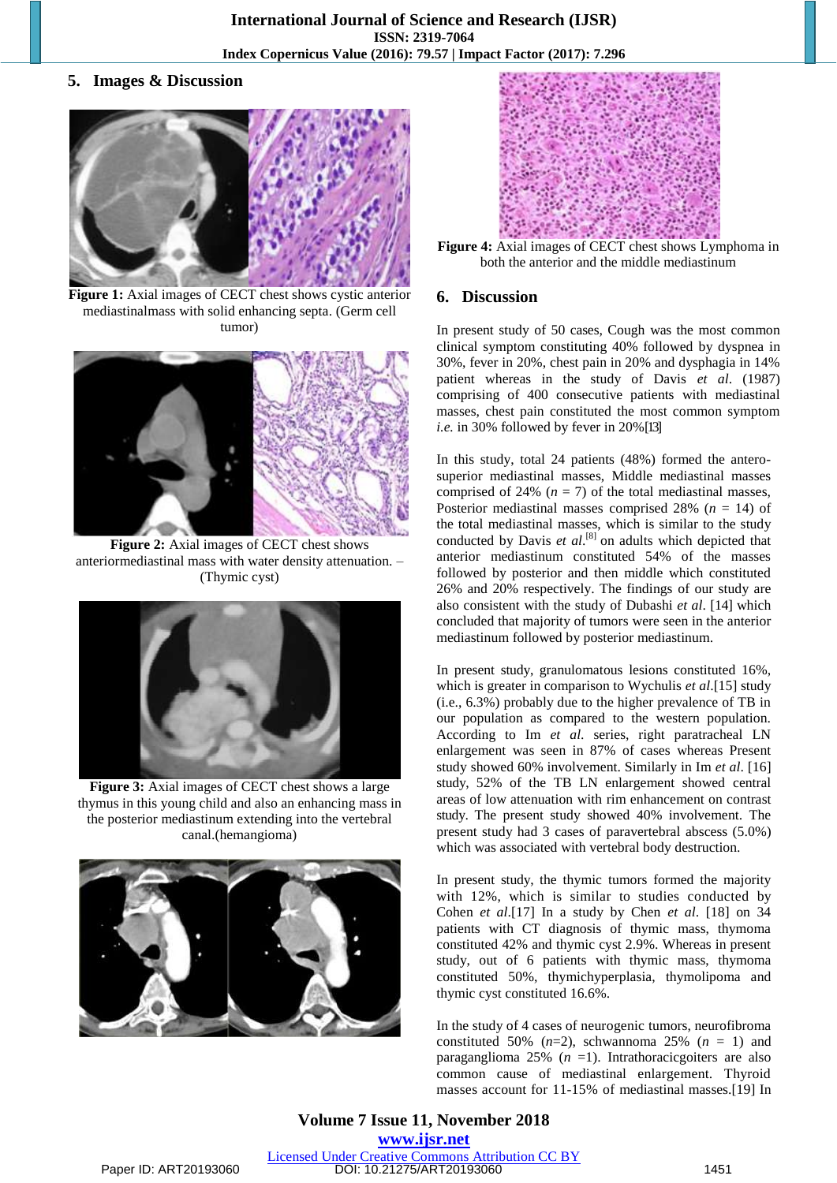**5. Images & Discussion**



**Figure 1:** Axial images of CECT chest shows cystic anterior mediastinalmass with solid enhancing septa. (Germ cell tumor)



**Figure 2:** Axial images of CECT chest shows anteriormediastinal mass with water density attenuation. – (Thymic cyst)



**Figure 3:** Axial images of CECT chest shows a large thymus in this young child and also an enhancing mass in the posterior mediastinum extending into the vertebral canal.(hemangioma)





**Figure 4:** Axial images of CECT chest shows Lymphoma in both the anterior and the middle mediastinum

#### **6. Discussion**

In present study of 50 cases, Cough was the most common clinical symptom constituting 40% followed by dyspnea in 30%, fever in 20%, chest pain in 20% and dysphagia in 14% patient whereas in the study of Davis *et al*. (1987) comprising of 400 consecutive patients with mediastinal masses, chest pain constituted the most common symptom *i.e.* in 30% followed by fever in 20% [13]

In this study, total 24 patients (48%) formed the anterosuperior mediastinal masses, Middle mediastinal masses comprised of 24%  $(n = 7)$  of the total mediastinal masses, Posterior mediastinal masses comprised 28% (*n* = 14) of the total mediastinal masses, which is similar to the study conducted by Davis *et al*. [8] on adults which depicted that anterior mediastinum constituted 54% of the masses followed by posterior and then middle which constituted 26% and 20% respectively. The findings of our study are also consistent with the study of Dubashi *et al*. [14] which concluded that majority of tumors were seen in the anterior mediastinum followed by posterior mediastinum.

In present study, granulomatous lesions constituted 16%, which is greater in comparison to Wychulis *et al*.[15] study (i.e., 6.3%) probably due to the higher prevalence of TB in our population as compared to the western population. According to Im *et al*. series, right paratracheal LN enlargement was seen in 87% of cases whereas Present study showed 60% involvement. Similarly in Im *et al*. [16] study, 52% of the TB LN enlargement showed central areas of low attenuation with rim enhancement on contrast study. The present study showed 40% involvement. The present study had 3 cases of paravertebral abscess (5.0%) which was associated with vertebral body destruction.

In present study, the thymic tumors formed the majority with 12%, which is similar to studies conducted by Cohen *et al*.[17] In a study by Chen *et al*. [18] on 34 patients with CT diagnosis of thymic mass, thymoma constituted 42% and thymic cyst 2.9%. Whereas in present study, out of 6 patients with thymic mass, thymoma constituted 50%, thymichyperplasia, thymolipoma and thymic cyst constituted 16.6%.

In the study of 4 cases of neurogenic tumors, neurofibroma constituted 50%  $(n=2)$ , schwannoma 25%  $(n = 1)$  and paraganglioma  $25\%$  ( $n = 1$ ). Intrathoracic goiters are also common cause of mediastinal enlargement. Thyroid masses account for 11-15% of mediastinal masses.[19] In